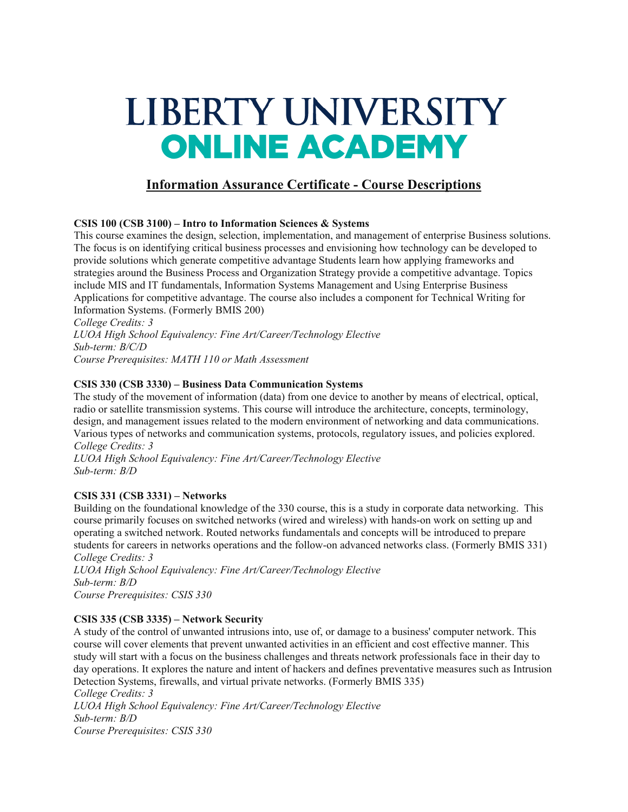# LIBERTY UNIVERSITY **ONLINE ACADEMY**

# **Information Assurance Certificate - Course Descriptions**

# **CSIS 100 (CSB 3100) – Intro to Information Sciences & Systems**

This course examines the design, selection, implementation, and management of enterprise Business solutions. The focus is on identifying critical business processes and envisioning how technology can be developed to provide solutions which generate competitive advantage Students learn how applying frameworks and strategies around the Business Process and Organization Strategy provide a competitive advantage. Topics include MIS and IT fundamentals, Information Systems Management and Using Enterprise Business Applications for competitive advantage. The course also includes a component for Technical Writing for Information Systems. (Formerly BMIS 200)

*College Credits: 3 LUOA High School Equivalency: Fine Art/Career/Technology Elective Sub-term: B/C/D Course Prerequisites: MATH 110 or Math Assessment*

## **CSIS 330 (CSB 3330) – Business Data Communication Systems**

The study of the movement of information (data) from one device to another by means of electrical, optical, radio or satellite transmission systems. This course will introduce the architecture, concepts, terminology, design, and management issues related to the modern environment of networking and data communications. Various types of networks and communication systems, protocols, regulatory issues, and policies explored. *College Credits: 3*

*LUOA High School Equivalency: Fine Art/Career/Technology Elective Sub-term: B/D*

# **CSIS 331 (CSB 3331) – Networks**

Building on the foundational knowledge of the 330 course, this is a study in corporate data networking. This course primarily focuses on switched networks (wired and wireless) with hands-on work on setting up and operating a switched network. Routed networks fundamentals and concepts will be introduced to prepare students for careers in networks operations and the follow-on advanced networks class. (Formerly BMIS 331) *College Credits: 3*

*LUOA High School Equivalency: Fine Art/Career/Technology Elective Sub-term: B/D Course Prerequisites: CSIS 330*

# **CSIS 335 (CSB 3335) – Network Security**

A study of the control of unwanted intrusions into, use of, or damage to a business' computer network. This course will cover elements that prevent unwanted activities in an efficient and cost effective manner. This study will start with a focus on the business challenges and threats network professionals face in their day to day operations. It explores the nature and intent of hackers and defines preventative measures such as Intrusion Detection Systems, firewalls, and virtual private networks. (Formerly BMIS 335)

*College Credits: 3 LUOA High School Equivalency: Fine Art/Career/Technology Elective Sub-term: B/D Course Prerequisites: CSIS 330*